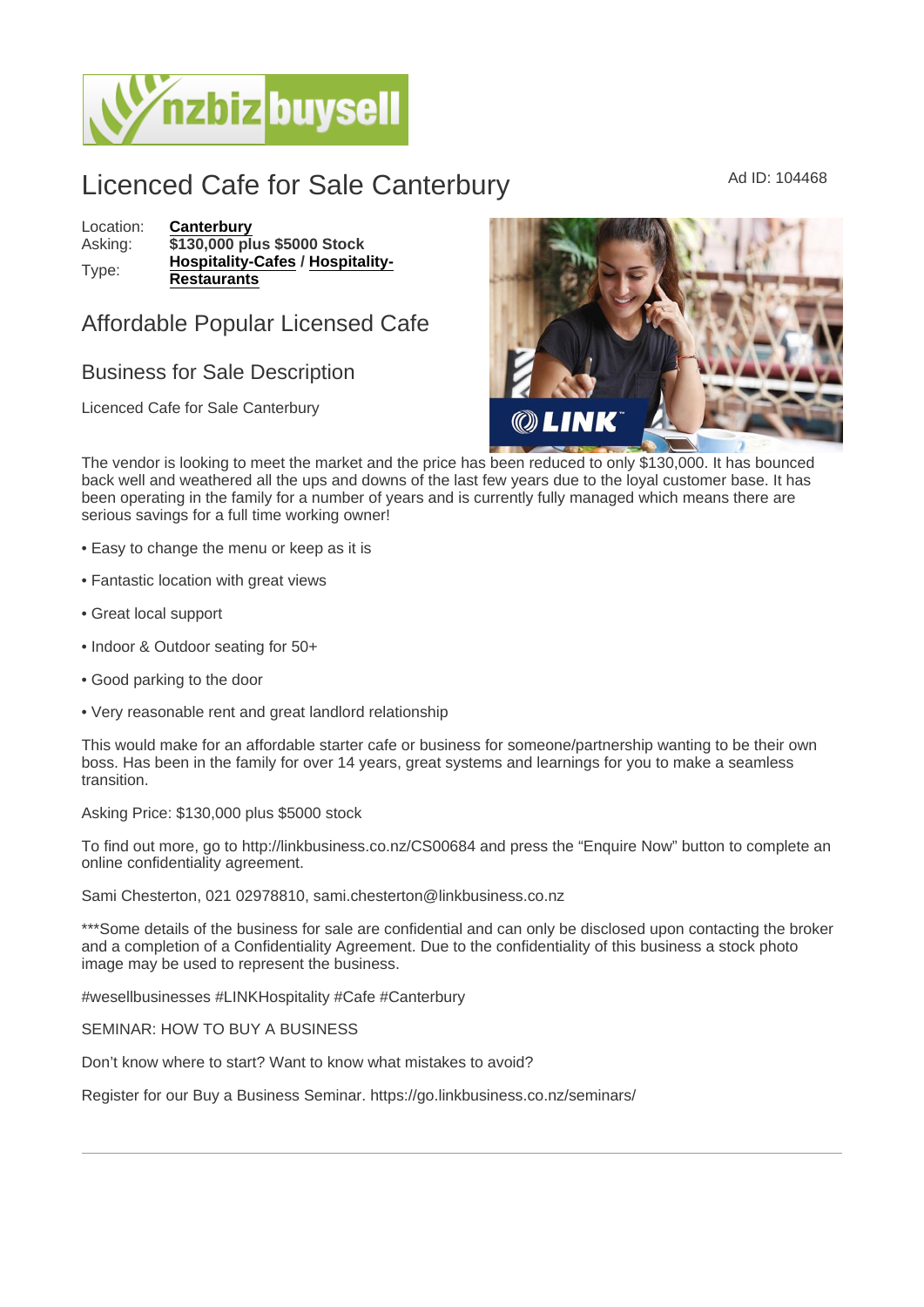## Licenced Cafe for Sale Canterbury Ad ID: 104468

Location: [Canterbury](https://www.nzbizbuysell.co.nz/businesses-for-sale/location/Canterbury) Asking: \$130,000 plus \$5000 Stock Type: [Hospitality-Cafes](https://www.nzbizbuysell.co.nz/businesses-for-sale/Cafes/New-Zealand) / [Hospitality-](https://www.nzbizbuysell.co.nz/businesses-for-sale/Restaurants/New-Zealand)**[Restaurants](https://www.nzbizbuysell.co.nz/businesses-for-sale/Restaurants/New-Zealand)** 

## Affordable Popular Licensed Cafe

## Business for Sale Description

Licenced Cafe for Sale Canterbury

The vendor is looking to meet the market and the price has been reduced to only \$130,000. It has bounced back well and weathered all the ups and downs of the last few years due to the loyal customer base. It has been operating in the family for a number of years and is currently fully managed which means there are serious savings for a full time working owner!

- Easy to change the menu or keep as it is
- Fantastic location with great views
- Great local support
- Indoor & Outdoor seating for 50+
- Good parking to the door
- Very reasonable rent and great landlord relationship

This would make for an affordable starter cafe or business for someone/partnership wanting to be their own boss. Has been in the family for over 14 years, great systems and learnings for you to make a seamless transition.

Asking Price: \$130,000 plus \$5000 stock

To find out more, go to http://linkbusiness.co.nz/CS00684 and press the "Enquire Now" button to complete an online confidentiality agreement.

Sami Chesterton, 021 02978810, sami.chesterton@linkbusiness.co.nz

\*\*\*Some details of the business for sale are confidential and can only be disclosed upon contacting the broker and a completion of a Confidentiality Agreement. Due to the confidentiality of this business a stock photo image may be used to represent the business.

#wesellbusinesses #LINKHospitality #Cafe #Canterbury

SEMINAR: HOW TO BUY A BUSINESS

Don't know where to start? Want to know what mistakes to avoid?

Register for our Buy a Business Seminar. https://go.linkbusiness.co.nz/seminars/